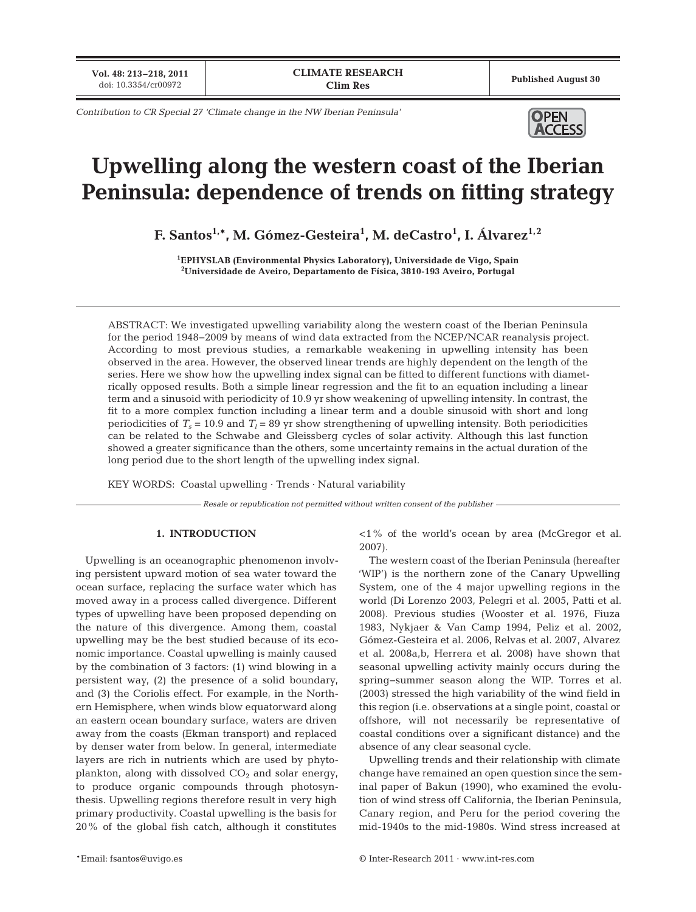**Vol. 48: 213–218, 2011**

*Contribution to CR Special 27 'Climate change in the NW Iberian Peninsula'*



# **Upwelling along the western coast of the Iberian Peninsula: dependence of trends on fitting strategy**

**F. Santos1,\*, M. Gómez-Gesteira1 , M. deCastro1 , I. Álvarez1,2**

**1 EPHYSLAB (Environmental Physics Laboratory), Universidade de Vigo, Spain 2 Universidade de Aveiro, Departamento de Física, 3810-193 Aveiro, Portugal**

ABSTRACT: We investigated upwelling variability along the western coast of the Iberian Peninsula for the period 1948−2009 by means of wind data extracted from the NCEP/NCAR reanalysis project. According to most previous studies, a remarkable weakening in upwelling intensity has been observed in the area. However, the observed linear trends are highly dependent on the length of the series. Here we show how the upwelling index signal can be fitted to different functions with diametrically opposed results. Both a simple linear regression and the fit to an equation including a linear term and a sinusoid with periodicity of 10.9 yr show weakening of upwelling intensity. In contrast, the fit to a more complex function including a linear term and a double sinusoid with short and long periodicities of  $T_s = 10.9$  and  $T_l = 89$  yr show strengthening of upwelling intensity. Both periodicities can be related to the Schwabe and Gleissberg cycles of solar activity. Although this last function showed a greater significance than the others, some uncertainty remains in the actual duration of the long period due to the short length of the upwelling index signal.

KEY WORDS: Coastal upwelling · Trends · Natural variability

*Resale or republication not permitted without written consent of the publisher*

## **1. INTRODUCTION**

Upwelling is an oceanographic phenomenon involving persistent upward motion of sea water toward the ocean surface, replacing the surface water which has moved away in a process called divergence. Different types of upwelling have been proposed depending on the nature of this divergence. Among them, coastal upwelling may be the best studied because of its economic importance. Coastal upwelling is mainly caused by the combination of 3 factors: (1) wind blowing in a persistent way, (2) the presence of a solid boundary, and (3) the Coriolis effect. For example, in the Northern Hemisphere, when winds blow equatorward along an eastern ocean boundary surface, waters are driven away from the coasts (Ekman transport) and replaced by denser water from below. In general, intermediate layers are rich in nutrients which are used by phytoplankton, along with dissolved  $CO<sub>2</sub>$  and solar energy, to produce organic compounds through photosynthesis. Upwelling regions therefore result in very high primary productivity. Coastal upwelling is the basis for  $20\%$  of the global fish catch, although it constitutes

<1% of the world's ocean by area (McGregor et al. 2007).

The western coast of the Iberian Peninsula (hereafter 'WIP') is the northern zone of the Canary Upwelling System, one of the 4 major upwelling regions in the world (Di Lorenzo 2003, Pelegri et al. 2005, Patti et al. 2008). Previous studies (Wooster et al. 1976, Fiuza 1983, Nykjaer & Van Camp 1994, Peliz et al. 2002, Gómez-Gesteira et al. 2006, Relvas et al. 2007, Alvarez et al. 2008a,b, Herrera et al. 2008) have shown that seasonal upwelling activity mainly occurs during the spring− summer season along the WIP. Torres et al. (2003) stressed the high variability of the wind field in this region (i.e. observations at a single point, coastal or offshore, will not necessarily be representative of coastal conditions over a significant distance) and the absence of any clear seasonal cycle.

Upwelling trends and their relationship with climate change have remained an open question since the seminal paper of Bakun (1990), who examined the evolution of wind stress off California, the Iberian Peninsula, Canary region, and Peru for the period covering the mid-1940s to the mid-1980s. Wind stress increased at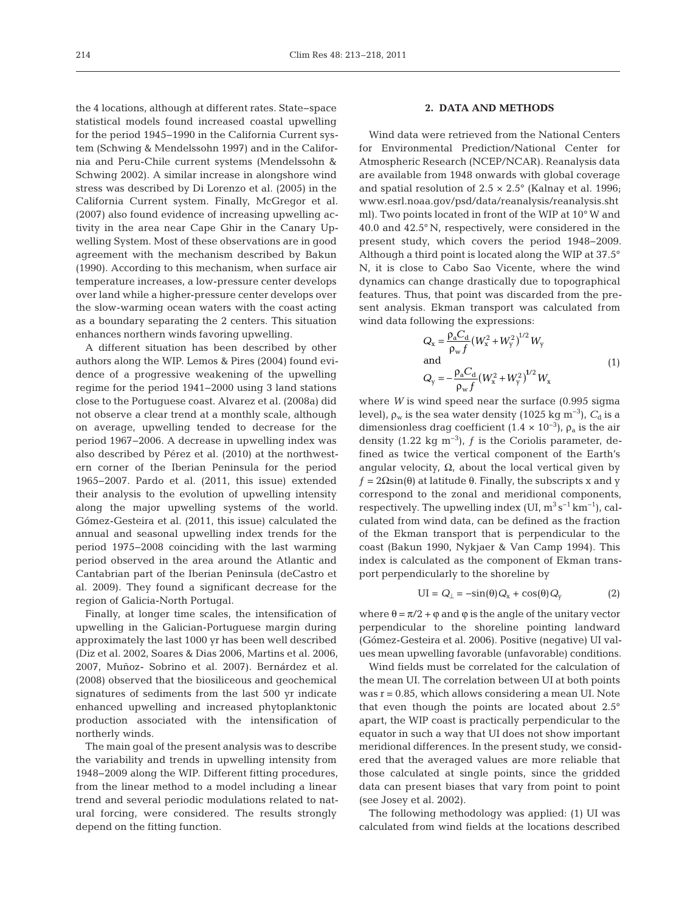the 4 locations, although at different rates. State−space statistical models found increased coastal upwelling for the period 1945− 1990 in the California Current system (Schwing & Mendelssohn 1997) and in the California and Peru-Chile current systems (Mendelssohn & Schwing 2002). A similar increase in alongshore wind stress was described by Di Lorenzo et al. (2005) in the California Current system. Finally, McGregor et al. (2007) also found evidence of increasing upwelling activity in the area near Cape Ghir in the Canary Upwelling System. Most of these observations are in good agreement with the mechanism described by Bakun (1990). According to this mechanism, when surface air temperature increases, a low-pressure center develops over land while a higher-pressure center develops over the slow-warming ocean waters with the coast acting as a boundary separating the 2 centers. This situation enhances northern winds favoring upwelling.

A different situation has been described by other authors along the WIP. Lemos & Pires (2004) found evidence of a progressive weakening of the upwelling regime for the period 1941−2000 using 3 land stations close to the Portuguese coast. Alvarez et al. (2008a) did not observe a clear trend at a monthly scale, although on average, upwelling tended to decrease for the period 1967−2006. A decrease in up welling index was also described by Pérez et al. (2010) at the northwestern corner of the Iberian Peninsula for the period 1965−2007. Pardo et al. (2011, this issue) extended their analysis to the evolution of upwelling intensity along the major up welling systems of the world. Gómez-Gesteira et al. (2011, this issue) calculated the annual and seasonal upwelling index trends for the period 1975−2008 coinciding with the last warming period observed in the area around the Atlantic and Cantabrian part of the Iberian Peninsula (deCastro et al. 2009). They found a significant decrease for the region of Galicia-North Portugal.

Finally, at longer time scales, the intensification of upwelling in the Galician-Portuguese margin during approximately the last 1000 yr has been well described (Diz et al. 2002, Soares & Dias 2006, Martins et al. 2006, 2007, Muñoz- Sobrino et al. 2007). Bernárdez et al. (2008) observed that the biosiliceous and geochemical signatures of sediments from the last 500 yr indicate enhanced upwelling and increased phytoplanktonic production as sociated with the intensification of northerly winds.

The main goal of the present analysis was to describe the variability and trends in upwelling intensity from 1948−2009 along the WIP. Different fitting procedures, from the linear method to a model including a linear trend and several periodic modulations related to natural forcing, were considered. The results strongly depend on the fitting function.

## **2. DATA AND METHODS**

Wind data were retrieved from the National Centers for Environmental Prediction/National Center for Atmospheric Research (NCEP/NCAR). Reanalysis data are available from 1948 onwards with global coverage and spatial resolution of  $2.5 \times 2.5^{\circ}$  (Kalnay et al. 1996; www.esrl.noaa.gov/psd/data/reanalysis/reanalysis.sht ml). Two points located in front of the WIP at 10° W and 40.0 and 42.5° N, respectively, were considered in the present study, which covers the period 1948−2009. Although a third point is located along the WIP at 37.5° N, it is close to Cabo Sao Vicente, where the wind dynamics can change drastically due to topographical features. Thus, that point was discarded from the present analysis. Ekman transport was calculated from wind data following the expressions:

$$
Q_{x} = \frac{\rho_{a} C_{d}}{\rho_{w} f} (W_{x}^{2} + W_{y}^{2})^{1/2} W_{y}
$$
  
and  

$$
Q_{y} = -\frac{\rho_{a} C_{d}}{\rho_{w} f} (W_{x}^{2} + W_{y}^{2})^{1/2} W_{x}
$$
 (1)

where *W* is wind speed near the surface (0.995 sigma level),  $\rho_w$  is the sea water density (1025 kg m<sup>-3</sup>),  $C_d$  is a dimensionless drag coefficient (1.4 × 10<sup>-3</sup>),  $\rho_a$  is the air density (1.22 kg m<sup>-3</sup>),  $f$  is the Coriolis parameter, defined as twice the vertical component of the Earth's angular velocity,  $\Omega$ , about the local vertical given by  $f = 2\Omega \sin(\theta)$  at latitude  $\theta$ . Finally, the subscripts x and y correspond to the zonal and meridional components, respectively. The upwelling index (UI,  $m^3 s^{-1} km^{-1}$ ), calculated from wind data, can be defined as the fraction of the Ekman transport that is perpendicular to the coast (Bakun 1990, Nykjaer & Van Camp 1994). This index is calculated as the component of Ekman transport perpendicularly to the shoreline by

$$
UI = Q_{\perp} = -\sin(\theta)Q_{x} + \cos(\theta)Q_{y}
$$
 (2)

where  $\theta = \pi/2 + \varphi$  and  $\varphi$  is the angle of the unitary vector perpendicular to the shoreline pointing landward (Gómez-Gesteira et al. 2006). Positive (negative) UI values mean upwelling favorable (unfavorable) conditions.

Wind fields must be correlated for the calculation of the mean UI. The correlation between UI at both points was  $r = 0.85$ , which allows considering a mean UI. Note that even though the points are located about 2.5° apart, the WIP coast is practically perpendicular to the equator in such a way that UI does not show important meridional differences. In the present study, we considered that the averaged values are more reliable that those calculated at single points, since the gridded data can present biases that vary from point to point (see Josey et al. 2002).

The following methodology was applied: (1) UI was calculated from wind fields at the locations described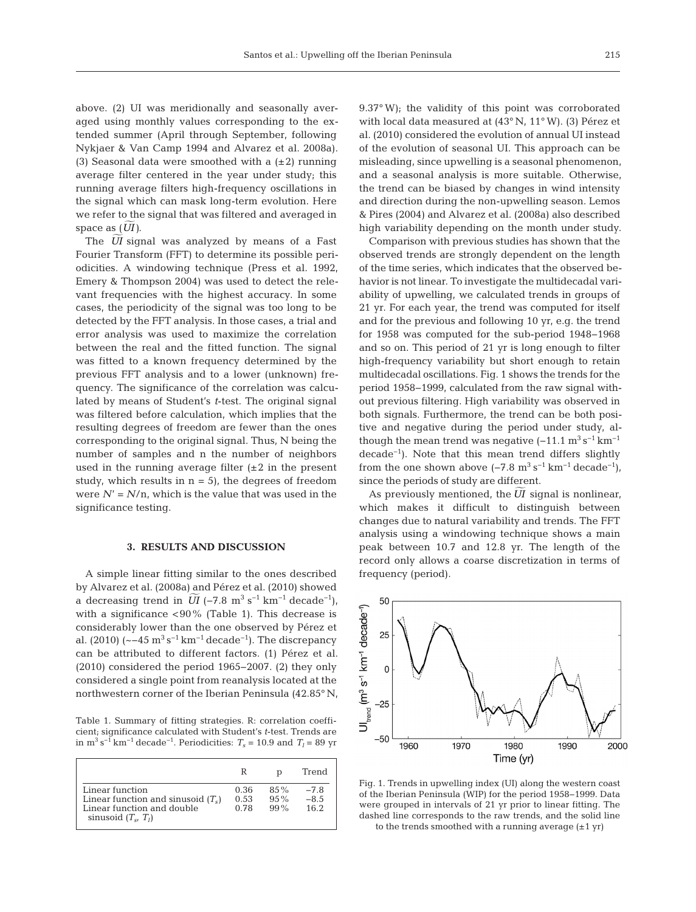above. (2) UI was meridionally and seasonally averaged using monthly values corresponding to the extended summer (April through September, following Nykjaer & Van Camp 1994 and Alvarez et al. 2008a). (3) Seasonal data were smoothed with a  $(\pm 2)$  running average filter centered in the year under study; this running average filters high-frequency oscillations in the signal which can mask long-term evolution. Here we refer to the signal that was filtered and averaged in space as  $(\widetilde{U}I)$ .

The  $\overline{UI}$  signal was analyzed by means of a Fast Fourier Transform (FFT) to determine its possible periodicities. A windowing technique (Press et al. 1992, Emery & Thompson 2004) was used to detect the relevant frequencies with the highest accuracy. In some cases, the periodicity of the signal was too long to be detected by the FFT analysis. In those cases, a trial and error analysis was used to maximize the correlation between the real and the fitted function. The signal was fitted to a known frequency determined by the previous FFT analysis and to a lower (unknown) frequency. The significance of the correlation was calculated by means of Student's *t*-test. The original signal was filtered before calculation, which implies that the resulting degrees of freedom are fewer than the ones corresponding to the original signal. Thus, N being the number of samples and n the number of neighbors used in the running average filter  $(\pm 2$  in the present study, which results in  $n = 5$ ), the degrees of freedom were  $N' = N/n$ , which is the value that was used in the significance testing.

#### **3. RESULTS AND DISCUSSION**

A simple linear fitting similar to the ones described by Alvarez et al. (2008a) and Pérez et al. (2010) showed  $\overline{U}I$  (−7.8 m<sup>3</sup> s<sup>−1</sup> km<sup>-1</sup> decade<sup>-1</sup>), and the case of the contract of the case of the case of the case of the case of the case of the case of the case of the case of the case of the case of the case of the case o with a significance <90% (Table 1). This decrease is considerably lower than the one observed by Pérez et al. (2010)  $\left(\sim -45 \,\mathrm{m}^3 \,\mathrm{s}^{-1} \,\mathrm{km}^{-1} \,\mathrm{decade}^{-1}\right)$ . The discrepancy can be attributed to different factors. (1) Pérez et al. (2010) considered the period 1965−2007. (2) they only considered a single point from reanalysis located at the northwestern corner of the Iberian Peninsula (42.85° N,

Table 1. Summary of fitting strategies. R: correlation coefficient; significance calculated with Student's *t*-test. Trends are in m<sup>3</sup> s<sup>-1</sup> km<sup>-1</sup> decade<sup>-1</sup>. Periodicities:  $T_s$  = 10.9 and  $T_l$  = 89 yr

|                                                                                                                | R                    |                            | Trend                    |
|----------------------------------------------------------------------------------------------------------------|----------------------|----------------------------|--------------------------|
| Linear function<br>Linear function and sinusoid $(T_s)$<br>Linear function and double<br>sinusoid $(T_s, T_l)$ | 0.36<br>0.53<br>0.78 | $85\%$<br>$95\%$<br>$99\%$ | $-7.8$<br>$-8.5$<br>16.2 |

9.37° W); the validity of this point was corroborated with local data measured at (43° N, 11° W). (3) Pérez et al. (2010) considered the evolution of annual UI instead of the evolution of seasonal UI. This approach can be misleading, since upwelling is a seasonal phenomenon, and a seasonal analysis is more suitable. Otherwise, the trend can be biased by changes in wind intensity and direction during the non-upwelling season. Lemos & Pires (2004) and Alvarez et al. (2008a) also described high variability depending on the month under study.

Comparison with previous studies has shown that the observed trends are strongly dependent on the length of the time series, which indicates that the observed behavior is not linear. To investigate the multidecadal variability of upwelling, we calculated trends in groups of 21 yr. For each year, the trend was computed for itself and for the previous and following 10 yr, e.g. the trend for 1958 was computed for the sub-period 1948−1968 and so on. This period of 21 yr is long enough to filter high-frequency variability but short enough to retain multidecadal oscillations. Fig. 1 shows the trends for the period 1958−1999, calculated from the raw signal without previous filtering. High variability was observed in both signals. Furthermore, the trend can be both positive and negative during the period under study, although the mean trend was negative  $(-11.1 \text{ m}^3 \text{ s}^{-1} \text{ km}^{-1})$ decade−1). Note that this mean trend differs slightly from the one shown above  $(-7.8 \text{ m}^3 \text{ s}^{-1} \text{ km}^{-1} \text{ decade}^{-1})$ , since the periods of study are different.

As previously mentioned, the  $\widetilde{UI}$  signal is nonlinear, which makes it difficult to distinguish between changes due to natural variability and trends. The FFT analysis using a windowing technique shows a main peak between 10.7 and 12.8 yr. The length of the record only allows a coarse discretization in terms of frequency (period).



Fig. 1. Trends in upwelling index (UI) along the western coast of the Iberian Peninsula (WIP) for the period 1958−1999. Data were grouped in intervals of 21 yr prior to linear fitting. The dashed line corresponds to the raw trends, and the solid line to the trends smoothed with a running average  $(\pm 1 \text{ yr})$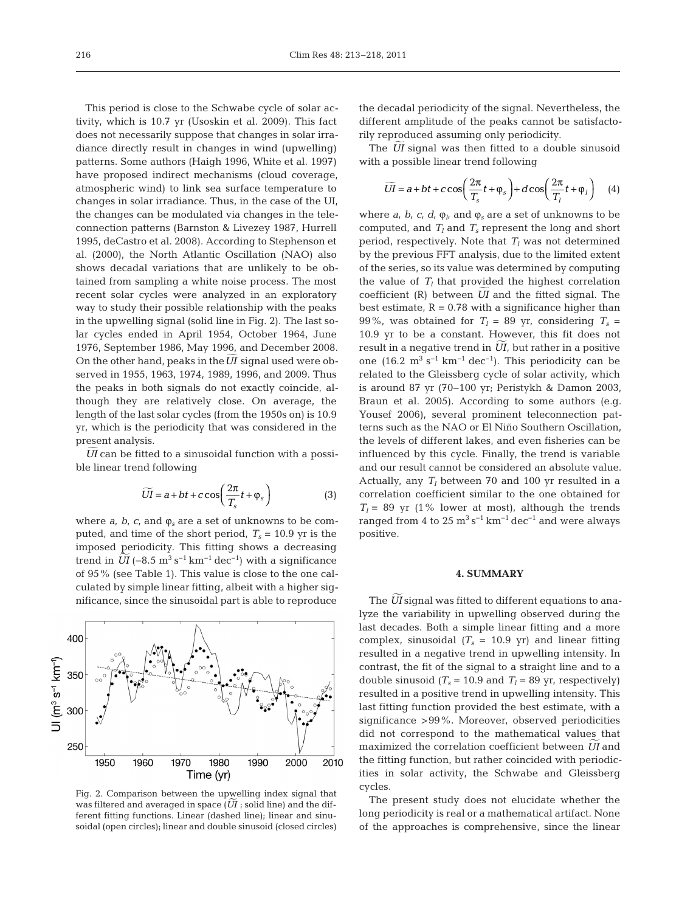This period is close to the Schwabe cycle of solar activity, which is 10.7 yr (Usoskin et al. 2009). This fact does not necessarily suppose that changes in solar irradiance directly result in changes in wind (upwelling) patterns. Some authors (Haigh 1996, White et al. 1997) have proposed indirect mechanisms (cloud coverage, atmospheric wind) to link sea surface temperature to changes in solar irradiance. Thus, in the case of the UI, the changes can be modulated via changes in the teleconnection patterns (Barnston & Livezey 1987, Hurrell 1995, deCastro et al. 2008). According to Stephenson et al. (2000), the North Atlantic Oscillation (NAO) also shows decadal variations that are unlikely to be obtained from sampling a white noise process. The most recent solar cycles were analyzed in an exploratory way to study their possible relationship with the peaks in the upwelling signal (solid line in Fig. 2). The last solar cycles ended in April 1954, October 1964, June 1976, September 1986, May 1996, and December 2008. On the other hand, peaks in the  $\overline{UI}$  signal used were observed in 1955, 1963, 1974, 1989, 1996, and 2009. Thus the peaks in both signals do not exactly coincide, although they are relatively close. On average, the length of the last solar cycles (from the 1950s on) is 10.9 yr, which is the periodicity that was considered in the present analysis.

 $\overline{U}I$  can be fitted to a sinusoidal function with a possible linear trend following

$$
\widetilde{UI} = a + bt + c \cos\left(\frac{2\pi}{T_s}t + \varphi_s\right)
$$
 (3)

where  $a$ ,  $b$ ,  $c$ , and  $\varphi_s$  are a set of unknowns to be computed, and time of the short period,  $T_s = 10.9$  yr is the imposed periodicity. This fitting shows a decreasing trend in  $\overline{UI}$  (−8.5 m<sup>3</sup> s<sup>-1</sup> km<sup>-1</sup> dec<sup>-1</sup>) with a significance of 95% (see Table 1). This value is close to the one calculated by simple linear fitting, albeit with a higher significance, since the sinusoidal part is able to reproduce



Fig. 2. Comparison between the upwelling index signal that was filtered and averaged in space  $(\widetilde{UI})$  ; solid line) and the difwas filtered and averaged in space  $(UI)$ ; solid line) and the different fitting functions. Linear (dashed line); linear and sinusoidal (open circles); linear and double sinusoid (closed circles)

the decadal periodicity of the signal. Nevertheless, the different amplitude of the peaks cannot be satisfactorily reproduced assuming only periodicity.

The  $\widetilde{U}$  signal was then fitted to a double sinusoid with a possible linear trend following

$$
\widetilde{UI} = a + bt + c \cos\left(\frac{2\pi}{T_s}t + \varphi_s\right) + d \cos\left(\frac{2\pi}{T_l}t + \varphi_l\right) \quad (4)
$$

where  $a_i$ ,  $b_i$ ,  $c_i$ ,  $d_i$ ,  $\varphi_i$ , and  $\varphi_s$  are a set of unknowns to be computed, and  $T_l$  and  $T_s$  represent the long and short period, respectively. Note that  $T_l$  was not determined by the previous FFT analysis, due to the limited extent of the series, so its value was determined by computing the value of  $T_l$  that provided the highest correlation coefficient  $(R)$  between  $\widetilde{U}I$  and the fitted signal. The best estimate,  $R = 0.78$  with a significance higher than 99%, was obtained for  $T_1 = 89$  yr, considering  $T_s =$ 10.9 yr to be a constant. However, this fit does not result in a negative trend in  $\widetilde{U}I$ , but rather in a positive one (16.2 m<sup>3</sup> s<sup>-1</sup> km<sup>-1</sup> dec<sup>-1</sup>). This periodicity can be related to the Gleissberg cycle of solar activity, which is around 87 yr (70−100 yr; Peristykh & Damon 2003, Braun et al. 2005). According to some authors (e.g. Yousef 2006), several prominent teleconnection patterns such as the NAO or El Niño Southern Oscillation, the levels of different lakes, and even fisheries can be influenced by this cycle. Finally, the trend is variable and our result cannot be considered an absolute value. Actually, any  $T_l$  between 70 and 100 yr resulted in a correlation coefficient similar to the one obtained for  $T_l$  = 89 yr (1% lower at most), although the trends ranged from 4 to  $25 \text{ m}^3 \text{ s}^{-1} \text{ km}^{-1} \text{ dec}^{-1}$  and were always positive.

#### **4. SUMMARY**

The  $\widetilde{U\!I}$  signal was fitted to different equations to analyze the variability in upwelling observed during the last decades. Both a simple linear fitting and a more complex, sinusoidal  $(T_s = 10.9 \text{ yr})$  and linear fitting resulted in a negative trend in upwelling intensity. In contrast, the fit of the signal to a straight line and to a double sinusoid  $(T_s = 10.9$  and  $T_l = 89$  yr, respectively) resulted in a positive trend in upwelling intensity. This last fitting function provided the best estimate, with a significance >99%. Moreover, observed periodicities did not correspond to the mathematical values that  $\frac{d}{dx}$  and  $\frac{d}{dx}$  is the maximized the correlation coefficient between  $\overline{U}$  and the fitting function, but rather coincided with periodicities in solar activity, the Schwabe and Gleissberg cycles.

The present study does not elucidate whether the long periodicity is real or a mathematical artifact. None of the approaches is comprehensive, since the linear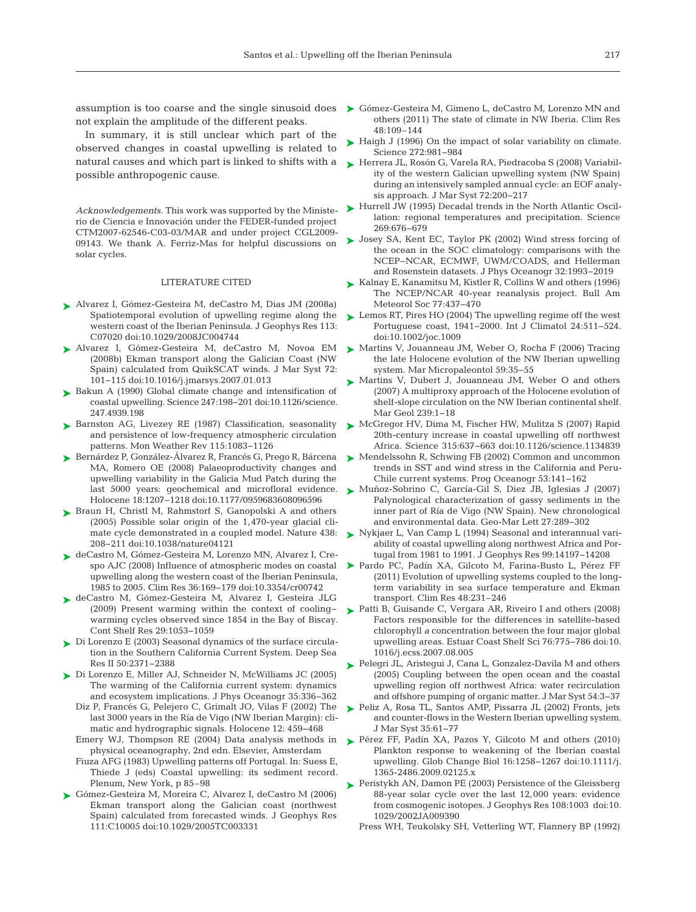not explain the amplitude of the different peaks.

In summary, it is still unclear which part of the ob served changes in coastal upwelling is related to natural causes and which part is linked to shifts with a possible anthropogenic cause.

*Acknowledgements*. This work was supported by the Ministerio de Ciencia e Innovación under the FEDER-funded project CTM2007-62546-C03-03/MAR and under project CGL2009 solar cycles.

### LITERATURE CITED

- Alvarez I, Gómez-Gesteira M, deCastro M, Dias JM (2008a) ➤ Spatiotemporal evolution of upwelling regime along the western coast of the Iberian Peninsula. J Geophys Res 113: C07020 doi: 10.1029/2008JC004744
- Alvarez I, Gómez-Gesteira M, deCastro M, Novoa EM ➤ (2008b) Ekman transport along the Galician Coast (NW Spain) calculated from QuikSCAT winds. J Mar Syst 72: 101−115 doi: 10.1016/j.jmarsys.2007.01.013
- ▶ Bakun A (1990) Global climate change and intensification of coastal upwelling. Science 247:198-201 doi:10.1126/science. 247.4939.198
- ► Barnston AG, Livezey RE (1987) Classification, seasonality and persistence of low-frequency atmospheric circulation patterns. Mon Weather Rev 115: 1083−1126
- Bernárdez P, González-Álvarez R, Francés G, Prego R, Bárcena ➤ MA, Romero OE (2008) Palaeoproductivity changes and upwelling variability in the Galicia Mud Patch during the last 5000 years: geochemical and microfloral evidence. Holocene 18:1207-1218 doi:10.1177/0959683608096596
- ▶ Braun H, Christl M, Rahmstorf S, Ganopolski A and others (2005) Possible solar origin of the 1,470-year glacial climate cycle demonstrated in a coupled model. Nature 438: 208−211 doi: 10.1038/nature04121
- ► deCastro M, Gómez-Gesteira M, Lorenzo MN, Alvarez I, Crespo AJC (2008) Influence of atmospheric modes on coastal upwelling along the western coast of the Iberian Peninsula, 1985 to 2005. Clim Res 36: 169−179 doi: 10.3354/ cr00742
- deCastro M, Gómez-Gesteira M, Alvarez I, Gesteira JLG ➤ (2009) Present warming within the context of cooling− warming cycles observed since 1854 in the Bay of Biscay. Cont Shelf Res 29: 1053−1059
- ► Di Lorenzo E (2003) Seasonal dynamics of the surface circulation in the Southern California Current System. Deep Sea Res II 50:2371-2388
- ► Di Lorenzo E, Miller AJ, Schneider N, McWilliams JC (2005) The warming of the California current system: dynamics and ecosystem implications. J Phys Oceanogr 35:336-362
	- Diz P, Francés G, Pelejero C, Grimalt JO, Vilas F (2002) The last 3000 years in the Ría de Vigo (NW Iberian Margin): climatic and hydrographic signals. Holocene 12:459−468
	- Emery WJ, Thompson RE (2004) Data analysis methods in Pérez FF, Padín XA, Pazos Y, Gilcoto M and others (2010) ➤ physical oceanography, 2nd edn. Elsevier, Amsterdam
	- Fiuza AFG (1983) Upwelling patterns off Portugal. In: Suess E, Thiede J (eds) Coastal upwelling: its sediment record. Plenum, New York, p 85–98
- ► Gómez-Gesteira M, Moreira C, Alvarez I, deCastro M (2006) Ekman transport along the Galician coast (northwest Spain) calculated from forecasted winds. J Geophys Res 111: C10005 doi:10.1029/2005TC003331
- assumption is too coarse and the single sinusoid does  $\triangleright$  Gómez-Gesteira M, Gimeno L, deCastro M, Lorenzo MN and others (2011) The state of climate in NW Iberia. Clim Res 48:109–144
	- ► Haigh J (1996) On the impact of solar variability on climate. Science 272: 981−984
	- ► Herrera JL, Rosón G, Varela RA, Piedracoba S (2008) Variability of the western Galician upwelling system (NW Spain) during an intensively sampled annual cycle: an EOF analysis approach. J Mar Syst 72:200-217
	- ► Hurrell JW (1995) Decadal trends in the North Atlantic Oscillation: regional temperatures and precipitation. Science 269: 676−679
- 09143. We thank A. Ferriz-Mas for helpful discussions on  $\blacktriangleright$  Josey SA, Kent EC, Taylor PK (2002) Wind stress forcing of the ocean in the SOC climatology: comparisons with the NCEP−NCAR, ECMWF, UWM/COADS, and Hellerman and Rosenstein datasets. J Phys Oceanogr 32: 1993−2019
	- ► Kalnay E, Kanamitsu M, Kistler R, Collins W and others (1996) The NCEP/NCAR 40-year reanalysis project. Bull Am Meteorol Soc 77:437-470
	- ► Lemos RT, Pires HO (2004) The upwelling regime off the west Portuguese coast, 1941–2000. Int J Climatol 24:511–524. doi: 10.1002/joc.1009
	- ► Martins V, Jouanneau JM, Weber O, Rocha F (2006) Tracing the late Holocene evolution of the NW Iberian upwelling system. Mar Micropaleontol 59:35-55
	- ► Martins V, Dubert J, Jouanneau JM, Weber O and others (2007) A multiproxy approach of the Holocene evolution of shelf-slope circulation on the NW Iberian continental shelf. Mar Geol 239: 1−18
	- ► McGregor HV, Dima M, Fischer HW, Mulitza S (2007) Rapid 20th-century increase in coastal upwelling off northwest Africa. Science 315:637-663 doi:10.1126/science.1134839
	- ► Mendelssohn R, Schwing FB (2002) Common and uncommon trends in SST and wind stress in the California and Peru-Chile current systems. Prog Oceanogr 53: 141−162
	- Muñoz-Sobrino C, García-Gil S, Diez JB, Iglesias J (2007) ➤ Palynological characterization of gassy sediments in the inner part of Ría de Vigo (NW Spain). New chronological and environmental data. Geo-Mar Lett 27:289-302
	- ► Nykjaer L, Van Camp L (1994) Seasonal and interannual variability of coastal upwelling along northwest Africa and Portugal from 1981 to 1991. J Geophys Res 99: 14197−14208
	- Pardo PC, Padín XA, Gilcoto M, Farina-Busto L, Pérez FF ➤(2011) Evolution of upwelling systems coupled to the longterm variability in sea surface temperature and Ekman transport. Clim Res 48:231–246
	- ► Patti B, Guisande C, Vergara AR, Riveiro I and others (2008) Factors responsible for the differences in satellite-based chlorophyll *a* concentration between the four major global upwelling areas. Estuar Coast Shelf Sci 76: 775−786 doi: 10. 1016/j.ecss.2007.08.005
	- ► Pelegri JL, Aristegui J, Cana L, Gonzalez-Davila M and others (2005) Coupling between the open ocean and the coastal upwelling region off northwest Africa: water recirculation and offshore pumping of organic matter. J Mar Syst 54:3-37
	- ► Peliz A, Rosa TL, Santos AMP, Pissarra JL (2002) Fronts, jets and counter-flows in the Western Iberian upwelling system. J Mar Syst 35: 61−77
	- Plankton response to weakening of the Iberian coastal upwelling. Glob Change Biol 16: 1258−1267 doi: 10. 1111/j. 1365- 2486.2009.02125.x
	- ► Peristykh AN, Damon PE (2003) Persistence of the Gleissberg 88-year solar cycle over the last 12,000 years: evidence from cosmogenic isotopes. J Geophys Res 108:1003 doi:10. 1029/2002JA009390
		- Press WH, Teukolsky SH, Vetterling WT, Flannery BP (1992)